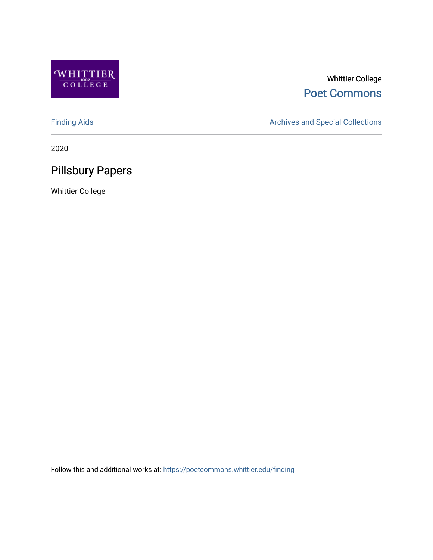

# Whittier College [Poet Commons](https://poetcommons.whittier.edu/)

[Finding Aids](https://poetcommons.whittier.edu/finding) **Archives and Special Collections** Archives and Special Collections

2020

# Pillsbury Papers

Whittier College

Follow this and additional works at: [https://poetcommons.whittier.edu/finding](https://poetcommons.whittier.edu/finding?utm_source=poetcommons.whittier.edu%2Ffinding%2F5&utm_medium=PDF&utm_campaign=PDFCoverPages)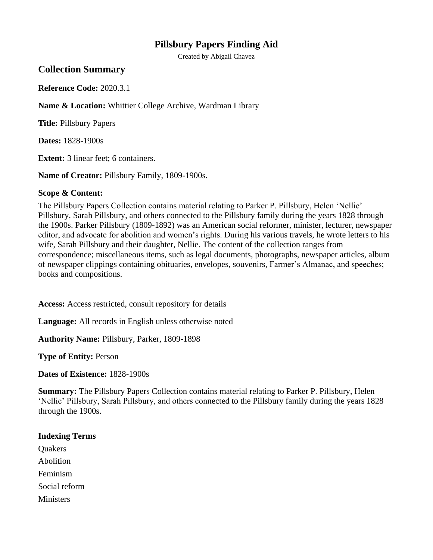### **Pillsbury Papers Finding Aid**

Created by Abigail Chavez

#### **Collection Summary**

**Reference Code:** 2020.3.1

**Name & Location:** Whittier College Archive, Wardman Library

**Title:** Pillsbury Papers

**Dates:** 1828-1900s

**Extent:** 3 linear feet; 6 containers.

**Name of Creator:** Pillsbury Family, 1809-1900s.

#### **Scope & Content:**

The Pillsbury Papers Collection contains material relating to Parker P. Pillsbury, Helen 'Nellie' Pillsbury, Sarah Pillsbury, and others connected to the Pillsbury family during the years 1828 through the 1900s. Parker Pillsbury (1809-1892) was an American social reformer, minister, lecturer, newspaper editor, and advocate for abolition and women's rights. During his various travels, he wrote letters to his wife, Sarah Pillsbury and their daughter, Nellie. The content of the collection ranges from correspondence; miscellaneous items, such as legal documents, photographs, newspaper articles, album of newspaper clippings containing obituaries, envelopes, souvenirs, Farmer's Almanac, and speeches; books and compositions.

**Access:** Access restricted, consult repository for details

**Language:** All records in English unless otherwise noted

**Authority Name:** Pillsbury, Parker, 1809-1898

**Type of Entity:** Person

**Dates of Existence:** 1828-1900s

**Summary:** The Pillsbury Papers Collection contains material relating to Parker P. Pillsbury, Helen 'Nellie' Pillsbury, Sarah Pillsbury, and others connected to the Pillsbury family during the years 1828 through the 1900s.

#### **Indexing Terms**

**Ouakers** Abolition Feminism Social reform **Ministers**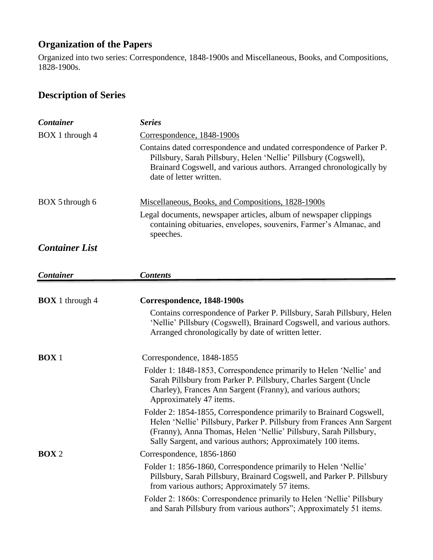## **Organization of the Papers**

Organized into two series: Correspondence, 1848-1900s and Miscellaneous, Books, and Compositions, 1828-1900s.

# **Description of Series**

| <b>Container</b>       | <b>Series</b>                                                                                                                                                                                                                                                                      |
|------------------------|------------------------------------------------------------------------------------------------------------------------------------------------------------------------------------------------------------------------------------------------------------------------------------|
| BOX 1 through 4        | Correspondence, 1848-1900s                                                                                                                                                                                                                                                         |
|                        | Contains dated correspondence and undated correspondence of Parker P.<br>Pillsbury, Sarah Pillsbury, Helen 'Nellie' Pillsbury (Cogswell),<br>Brainard Cogswell, and various authors. Arranged chronologically by<br>date of letter written.                                        |
| BOX 5 through 6        | Miscellaneous, Books, and Compositions, 1828-1900s<br>Legal documents, newspaper articles, album of newspaper clippings<br>containing obituaries, envelopes, souvenirs, Farmer's Almanac, and<br>speeches.                                                                         |
| <b>Container List</b>  |                                                                                                                                                                                                                                                                                    |
| Container              | <b>Contents</b>                                                                                                                                                                                                                                                                    |
|                        |                                                                                                                                                                                                                                                                                    |
| <b>BOX</b> 1 through 4 | Correspondence, 1848-1900s                                                                                                                                                                                                                                                         |
|                        | Contains correspondence of Parker P. Pillsbury, Sarah Pillsbury, Helen<br>'Nellie' Pillsbury (Cogswell), Brainard Cogswell, and various authors.<br>Arranged chronologically by date of written letter.                                                                            |
| $Box1$                 | Correspondence, 1848-1855                                                                                                                                                                                                                                                          |
|                        | Folder 1: 1848-1853, Correspondence primarily to Helen 'Nellie' and<br>Sarah Pillsbury from Parker P. Pillsbury, Charles Sargent (Uncle<br>Charley), Frances Ann Sargent (Franny), and various authors;<br>Approximately 47 items.                                                 |
|                        | Folder 2: 1854-1855, Correspondence primarily to Brainard Cogswell,<br>Helen 'Nellie' Pillsbury, Parker P. Pillsbury from Frances Ann Sargent<br>(Franny), Anna Thomas, Helen 'Nellie' Pillsbury, Sarah Pillsbury,<br>Sally Sargent, and various authors; Approximately 100 items. |
| <b>BOX</b> 2           | Correspondence, 1856-1860                                                                                                                                                                                                                                                          |
|                        | Folder 1: 1856-1860, Correspondence primarily to Helen 'Nellie'<br>Pillsbury, Sarah Pillsbury, Brainard Cogswell, and Parker P. Pillsbury<br>from various authors; Approximately 57 items.                                                                                         |
|                        | Folder 2: 1860s: Correspondence primarily to Helen 'Nellie' Pillsbury<br>and Sarah Pillsbury from various authors"; Approximately 51 items.                                                                                                                                        |